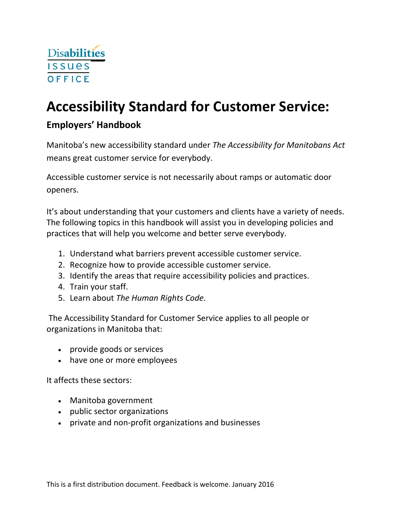

# **Accessibility Standard for Customer Service:**

## **Employers' Handbook**

Manitoba's new accessibility standard under *The Accessibility for Manitobans Act* means great customer service for everybody.

Accessible customer service is not necessarily about ramps or automatic door openers.

It's about understanding that your customers and clients have a variety of needs. The following topics in this handbook will assist you in developing policies and practices that will help you welcome and better serve everybody.

- 1. Understand what barriers prevent accessible customer service.
- 2. Recognize how to provide accessible customer service.
- 3. Identify the areas that require accessibility policies and practices.
- 4. Train your staff.
- 5. Learn about *The Human Rights Code.*

The Accessibility Standard for Customer Service applies to all people or organizations in Manitoba that:

- provide goods or services
- have one or more employees

It affects these sectors:

- Manitoba government
- public sector organizations
- private and non‐profit organizations and businesses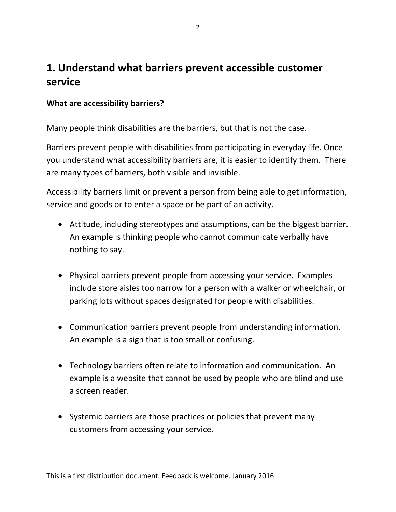## **1. Understand what barriers prevent accessible customer service**

## **What are accessibility barriers?**

Many people think disabilities are the barriers, but that is not the case.

Barriers prevent people with disabilities from participating in everyday life. Once you understand what accessibility barriers are, it is easier to identify them. There are many types of barriers, both visible and invisible.

Accessibility barriers limit or prevent a person from being able to get information, service and goods or to enter a space or be part of an activity.

- Attitude, including stereotypes and assumptions, can be the biggest barrier. An example is thinking people who cannot communicate verbally have nothing to say.
- Physical barriers prevent people from accessing your service. Examples include store aisles too narrow for a person with a walker or wheelchair, or parking lots without spaces designated for people with disabilities.
- Communication barriers prevent people from understanding information. An example is a sign that is too small or confusing.
- Technology barriers often relate to information and communication. An example is a website that cannot be used by people who are blind and use a screen reader.
- Systemic barriers are those practices or policies that prevent many customers from accessing your service.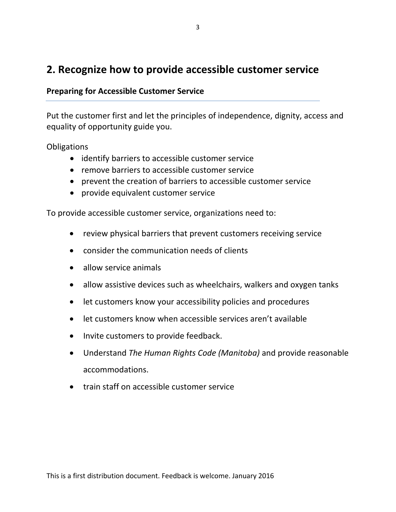## **2. Recognize how to provide accessible customer service**

### **Preparing for Accessible Customer Service**

Put the customer first and let the principles of independence, dignity, access and equality of opportunity guide you.

**Obligations** 

- identify barriers to accessible customer service
- remove barriers to accessible customer service
- prevent the creation of barriers to accessible customer service
- provide equivalent customer service

To provide accessible customer service, organizations need to:

- review physical barriers that prevent customers receiving service
- consider the communication needs of clients
- allow service animals
- allow assistive devices such as wheelchairs, walkers and oxygen tanks
- let customers know your accessibility policies and procedures
- let customers know when accessible services aren't available
- Invite customers to provide feedback.
- Understand *The Human Rights Code (Manitoba)* and provide reasonable accommodations.
- train staff on accessible customer service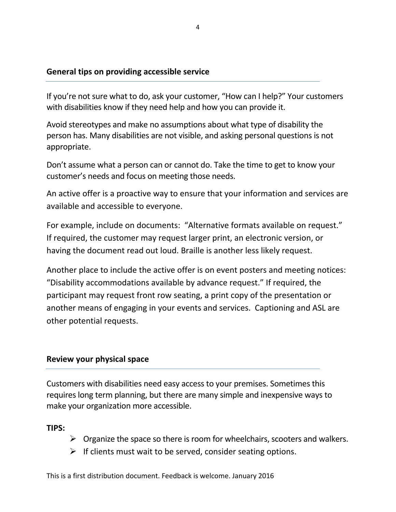## **General tips on providing accessible service**

If you're not sure what to do, ask your customer, "How can I help?" Your customers with disabilities know if they need help and how you can provide it.

Avoid stereotypes and make no assumptions about what type of disability the person has. Many disabilities are not visible, and asking personal questions is not appropriate.

Don't assume what a person can or cannot do. Take the time to get to know your customer's needs and focus on meeting those needs.

An active offer is a proactive way to ensure that your information and services are available and accessible to everyone.

For example, include on documents: "Alternative formats available on request." If required, the customer may request larger print, an electronic version, or having the document read out loud. Braille is another less likely request.

Another place to include the active offer is on event posters and meeting notices: "Disability accommodations available by advance request." If required, the participant may request front row seating, a print copy of the presentation or another means of engaging in your events and services. Captioning and ASL are other potential requests.

## **Review your physical space**

Customers with disabilities need easy access to your premises. Sometimes this requires long term planning, but there are many simple and inexpensive ways to make your organization more accessible.

**TIPS:** 

- $\triangleright$  Organize the space so there is room for wheelchairs, scooters and walkers.
- $\triangleright$  If clients must wait to be served, consider seating options.

This is a first distribution document. Feedback is welcome. January 2016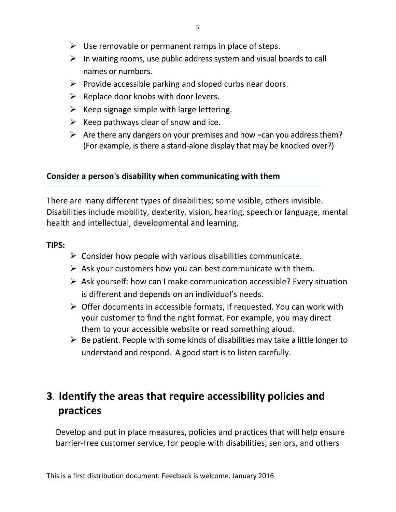- $\triangleright$  Use removable or permanent ramps in place of steps.
- $\triangleright$  In waiting rooms, use public address system and visual boards to call names or numbers.
- $\triangleright$  Provide accessible parking and sloped curbs near doors.
- $\triangleright$  Replace door knobs with door levers.
- $\triangleright$  Keep signage simple with large lettering.
- $\triangleright$  Keep pathways clear of snow and ice.
- $\triangleright$  Are there any dangers on your premises and how =can you address them? (For example, is there a stand-alone display that may be knocked over?)

## **Consider a person's disability when communicating with them**

There are many different types of disabilities; some visible, others invisible. Disabilities include mobility, dexterity, vision, hearing, speech or language, mental health and intellectual, developmental and learning.

## **TIPS:**

- $\triangleright$  Consider how people with various disabilities communicate.
- $\triangleright$  Ask your customers how you can best communicate with them.
- $\triangleright$  Ask yourself: how can I make communication accessible? Every situation is different and depends on an individual's needs.
- $\triangleright$  Offer documents in accessible formats, if requested. You can work with your customer to find the right format. For example, you may direct them to your accessible website or read something aloud.
- $\triangleright$  Be patient. People with some kinds of disabilities may take a little longer to understand and respond. A good start is to listen carefully.

## **3**. **Identify the areas that require accessibility policies and practices**

Develop and put in place measures, policies and practices that will help ensure barrier‐free customer service, for people with disabilities, seniors, and others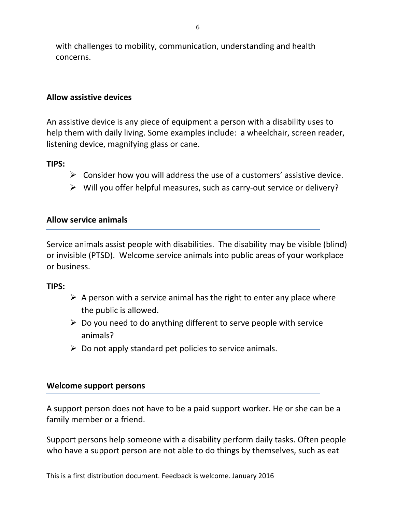with challenges to mobility, communication, understanding and health concerns.

### **Allow assistive devices**

An assistive device is any piece of equipment a person with a disability uses to help them with daily living. Some examples include: a wheelchair, screen reader, listening device, magnifying glass or cane.

#### **TIPS:**

- $\triangleright$  Consider how you will address the use of a customers' assistive device.
- ¾ Will you offer helpful measures, such as carry‐out service or delivery?

#### **Allow service animals**

Service animals assist people with disabilities. The disability may be visible (blind) or invisible (PTSD). Welcome service animals into public areas of your workplace or business.

#### **TIPS:**

- $\triangleright$  A person with a service animal has the right to enter any place where the public is allowed.
- $\triangleright$  Do you need to do anything different to serve people with service animals?
- $\triangleright$  Do not apply standard pet policies to service animals.

#### **Welcome support persons**

A support person does not have to be a paid support worker. He or she can be a family member or a friend.

Support persons help someone with a disability perform daily tasks. Often people who have a support person are not able to do things by themselves, such as eat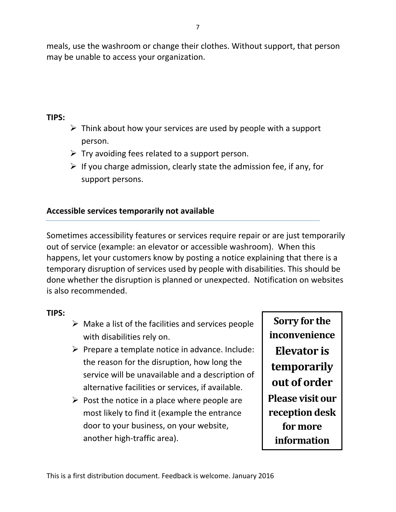meals, use the washroom or change their clothes. Without support, that person may be unable to access your organization.

## **TIPS:**

- $\triangleright$  Think about how your services are used by people with a support person.
- $\triangleright$  Try avoiding fees related to a support person.
- $\triangleright$  If you charge admission, clearly state the admission fee, if any, for support persons.

## **Accessible services temporarily not available**

Sometimes accessibility features or services require repair or are just temporarily out of service (example: an elevator or accessible washroom). When this happens, let your customers know by posting a notice explaining that there is a temporary disruption of services used by people with disabilities. This should be done whether the disruption is planned or unexpected. Notification on websites is also recommended.

## **TIPS:**

- $\triangleright$  Make a list of the facilities and services people with disabilities rely on.
- $\triangleright$  Prepare a template notice in advance. Include: the reason for the disruption, how long the service will be unavailable and a description of alternative facilities or services, if available.
- $\triangleright$  Post the notice in a place where people are most likely to find it (example the entrance door to your business, on your website, another high‐traffic area).

**Sorry for the inconvenience Elevator is temporarily out of order Please visit our reception desk for more information**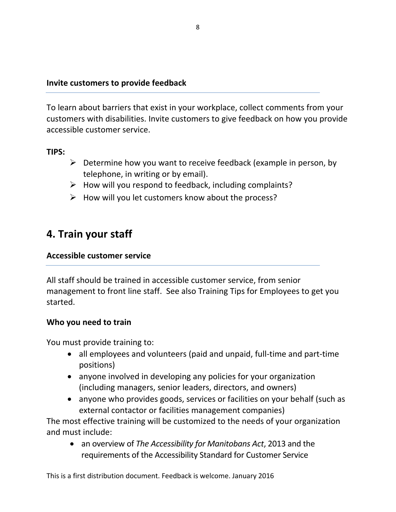### **Invite customers to provide feedback**

To learn about barriers that exist in your workplace, collect comments from your customers with disabilities. Invite customers to give feedback on how you provide accessible customer service.

## **TIPS:**

- $\triangleright$  Determine how you want to receive feedback (example in person, by telephone, in writing or by email).
- $\triangleright$  How will you respond to feedback, including complaints?
- $\triangleright$  How will you let customers know about the process?

## **4. Train your staff**

### **Accessible customer service**

All staff should be trained in accessible customer service, from senior management to front line staff. See also Training Tips for Employees to get you started.

## **Who you need to train**

You must provide training to:

- all employees and volunteers (paid and unpaid, full‐time and part‐time positions)
- anyone involved in developing any policies for your organization (including managers, senior leaders, directors, and owners)
- anyone who provides goods, services or facilities on your behalf (such as external contactor or facilities management companies)

The most effective training will be customized to the needs of your organization and must include:

• an overview of *The Accessibility for Manitobans Act*, 2013 and the requirements of the Accessibility Standard for Customer Service

This is a first distribution document. Feedback is welcome. January 2016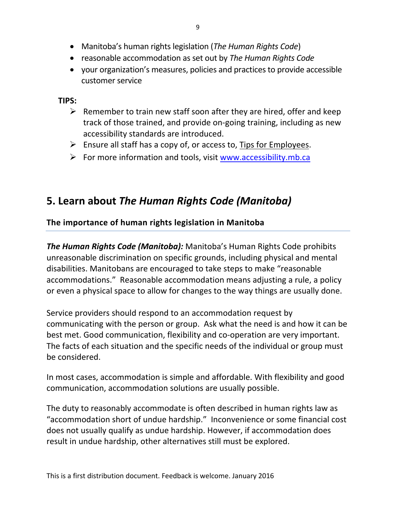- Manitoba's human rights legislation (*The Human Rights Code*)
- reasonable accommodation as set out by *The Human Rights Code*
- your organization's measures, policies and practices to provide accessible customer service

**TIPS:**

- $\triangleright$  Remember to train new staff soon after they are hired, offer and keep track of those trained, and provide on‐going training, including as new accessibility standards are introduced.
- $\triangleright$  Ensure all staff has a copy of, or access to, Tips for Employees.
- $\triangleright$  For more information and tools, visit www.accessibility.mb.ca

## **5. Learn about** *The Human Rights Code (Manitoba)*

## **The importance of human rights legislation in Manitoba**

*The Human Rights Code (Manitoba):* Manitoba's Human Rights Code prohibits unreasonable discrimination on specific grounds, including physical and mental disabilities. Manitobans are encouraged to take steps to make "reasonable accommodations." Reasonable accommodation means adjusting a rule, a policy or even a physical space to allow for changes to the way things are usually done.

Service providers should respond to an accommodation request by communicating with the person or group. Ask what the need is and how it can be best met. Good communication, flexibility and co-operation are very important. The facts of each situation and the specific needs of the individual or group must be considered.

In most cases, accommodation is simple and affordable. With flexibility and good communication, accommodation solutions are usually possible.

The duty to reasonably accommodate is often described in human rights law as "accommodation short of undue hardship." Inconvenience or some financial cost does not usually qualify as undue hardship. However, if accommodation does result in undue hardship, other alternatives still must be explored.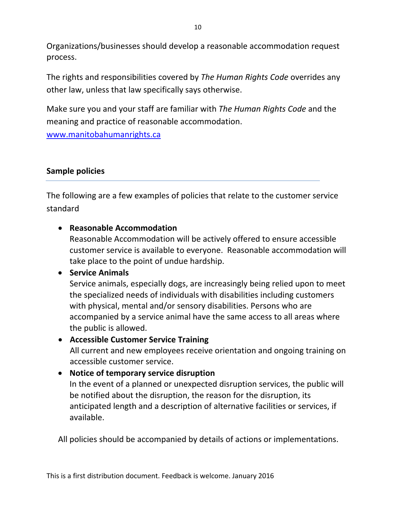Organizations/businesses should develop a reasonable accommodation request process.

The rights and responsibilities covered by *The Human Rights Code* overrides any other law, unless that law specifically says otherwise.

Make sure you and your staff are familiar with *The Human Rights Code* and the meaning and practice of reasonable accommodation.

www.manitobahumanrights.ca

## **Sample policies**

The following are a few examples of policies that relate to the customer service standard

• **Reasonable Accommodation**

Reasonable Accommodation will be actively offered to ensure accessible customer service is available to everyone. Reasonable accommodation will take place to the point of undue hardship.

## • **Service Animals**

Service animals, especially dogs, are increasingly being relied upon to meet the specialized needs of individuals with disabilities including customers with physical, mental and/or sensory disabilities. Persons who are accompanied by a service animal have the same access to all areas where the public is allowed.

## • **Accessible Customer Service Training**

All current and new employees receive orientation and ongoing training on accessible customer service.

## • **Notice of temporary service disruption**

In the event of a planned or unexpected disruption services, the public will be notified about the disruption, the reason for the disruption, its anticipated length and a description of alternative facilities or services, if available.

All policies should be accompanied by details of actions or implementations.